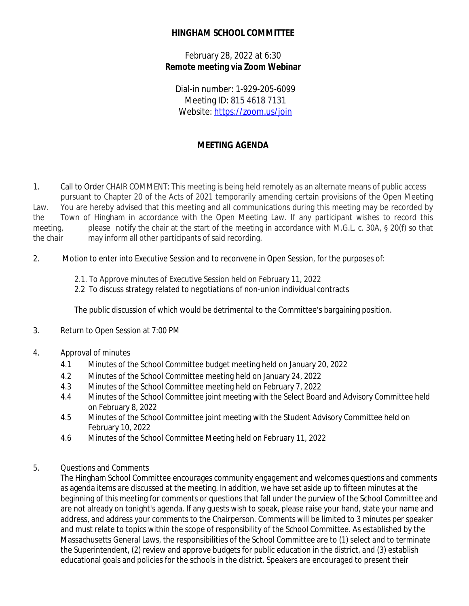## **HINGHAM SCHOOL COMMITTEE**

February 28, 2022 at 6:30 **Remote meeting via Zoom Webinar**

Dial-in number: 1-929-205-6099 Meeting ID: 815 4618 7131 Website: <https://zoom.us/join>

## **MEETING AGENDA**

1. Call to Order CHAIR COMMENT: This meeting is being held remotely as an alternate means of public access pursuant to Chapter 20 of the Acts of 2021 temporarily amending certain provisions of the Open Meeting Law. You are hereby advised that this meeting and all communications during this meeting may be recorded by the Town of Hingham in accordance with the Open Meeting Law. If any participant wishes to record this meeting, please notify the chair at the start of the meeting in accordance with M.G.L. c. 30A, § 20(f) so that the chair may inform all other participants of said recording.

- 2. Motion to enter into Executive Session and to reconvene in Open Session, for the purposes of:
	- 2.1. To Approve minutes of Executive Session held on February 11, 2022
	- 2.2 To discuss strategy related to negotiations of non-union individual contracts

The public discussion of which would be detrimental to the Committee's bargaining position.

- 3. Return to Open Session at 7:00 PM
- 4. Approval of minutes
	- 4.1 Minutes of the School Committee budget meeting held on January 20, 2022
	- 4.2 Minutes of the School Committee meeting held on January 24, 2022
	- 4.3 Minutes of the School Committee meeting held on February 7, 2022
	- 4.4 Minutes of the School Committee joint meeting with the Select Board and Advisory Committee held on February 8, 2022
	- 4.5 Minutes of the School Committee joint meeting with the Student Advisory Committee held on February 10, 2022
	- 4.6 Minutes of the School Committee Meeting held on February 11, 2022
- 5. Questions and Comments

The Hingham School Committee encourages community engagement and welcomes questions and comments as agenda items are discussed at the meeting. In addition, we have set aside up to fifteen minutes at the beginning of this meeting for comments or questions that fall under the purview of the School Committee and are not already on tonight's agenda. If any guests wish to speak, please raise your hand, state your name and address, and address your comments to the Chairperson. Comments will be limited to 3 minutes per speaker and must relate to topics within the scope of responsibility of the School Committee. As established by the Massachusetts General Laws, the responsibilities of the School Committee are to (1) select and to terminate the Superintendent, (2) review and approve budgets for public education in the district, and (3) establish educational goals and policies for the schools in the district. Speakers are encouraged to present their